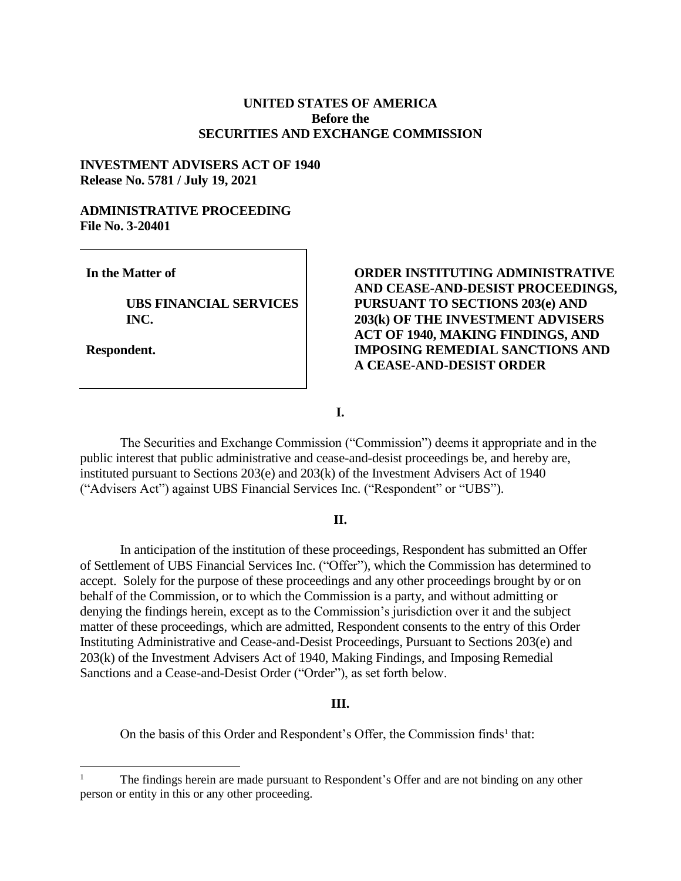## **UNITED STATES OF AMERICA Before the SECURITIES AND EXCHANGE COMMISSION**

## **INVESTMENT ADVISERS ACT OF 1940 Release No. 5781 / July 19, 2021**

# **ADMINISTRATIVE PROCEEDING File No. 3-20401**

**In the Matter of**

**UBS FINANCIAL SERVICES INC.**

**Respondent.**

# **ORDER INSTITUTING ADMINISTRATIVE AND CEASE-AND-DESIST PROCEEDINGS, PURSUANT TO SECTIONS 203(e) AND 203(k) OF THE INVESTMENT ADVISERS ACT OF 1940, MAKING FINDINGS, AND IMPOSING REMEDIAL SANCTIONS AND A CEASE-AND-DESIST ORDER**

**I.**

The Securities and Exchange Commission ("Commission") deems it appropriate and in the public interest that public administrative and cease-and-desist proceedings be, and hereby are, instituted pursuant to Sections 203(e) and 203(k) of the Investment Advisers Act of 1940 ("Advisers Act") against UBS Financial Services Inc. ("Respondent" or "UBS").

#### **II.**

In anticipation of the institution of these proceedings, Respondent has submitted an Offer of Settlement of UBS Financial Services Inc. ("Offer"), which the Commission has determined to accept. Solely for the purpose of these proceedings and any other proceedings brought by or on behalf of the Commission, or to which the Commission is a party, and without admitting or denying the findings herein, except as to the Commission's jurisdiction over it and the subject matter of these proceedings, which are admitted, Respondent consents to the entry of this Order Instituting Administrative and Cease-and-Desist Proceedings, Pursuant to Sections 203(e) and 203(k) of the Investment Advisers Act of 1940, Making Findings, and Imposing Remedial Sanctions and a Cease-and-Desist Order ("Order"), as set forth below.

### **III.**

On the basis of this Order and Respondent's Offer, the Commission finds<sup>1</sup> that:

 $\mathbf{1}$ <sup>1</sup> The findings herein are made pursuant to Respondent's Offer and are not binding on any other person or entity in this or any other proceeding.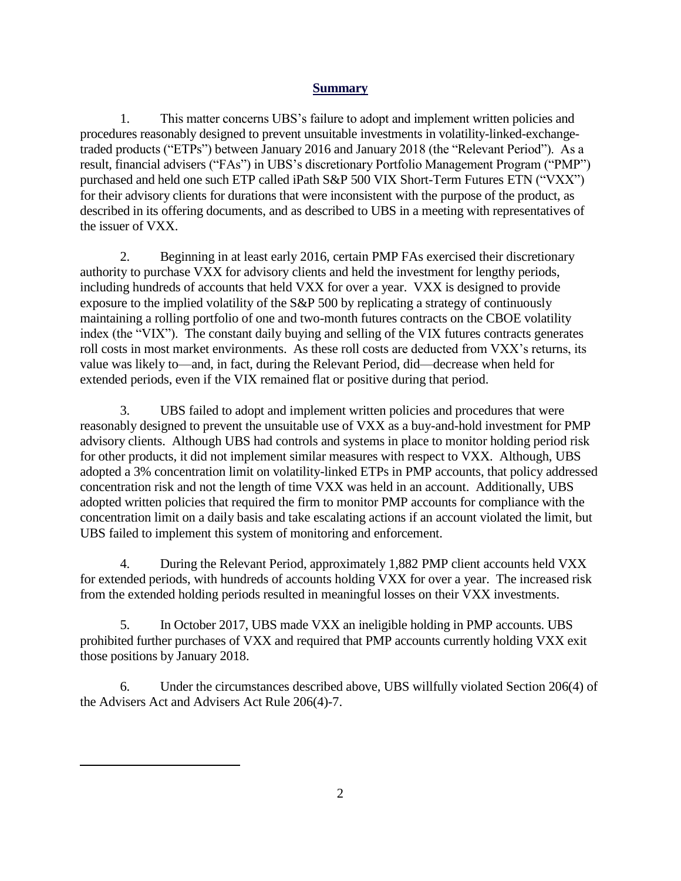## **Summary**

1. This matter concerns UBS's failure to adopt and implement written policies and procedures reasonably designed to prevent unsuitable investments in volatility-linked-exchangetraded products ("ETPs") between January 2016 and January 2018 (the "Relevant Period"). As a result, financial advisers ("FAs") in UBS's discretionary Portfolio Management Program ("PMP") purchased and held one such ETP called iPath S&P 500 VIX Short-Term Futures ETN ("VXX") for their advisory clients for durations that were inconsistent with the purpose of the product, as described in its offering documents, and as described to UBS in a meeting with representatives of the issuer of VXX.

2. Beginning in at least early 2016, certain PMP FAs exercised their discretionary authority to purchase VXX for advisory clients and held the investment for lengthy periods, including hundreds of accounts that held VXX for over a year. VXX is designed to provide exposure to the implied volatility of the S&P 500 by replicating a strategy of continuously maintaining a rolling portfolio of one and two-month futures contracts on the CBOE volatility index (the "VIX"). The constant daily buying and selling of the VIX futures contracts generates roll costs in most market environments. As these roll costs are deducted from VXX's returns, its value was likely to—and, in fact, during the Relevant Period, did—decrease when held for extended periods, even if the VIX remained flat or positive during that period.

3. UBS failed to adopt and implement written policies and procedures that were reasonably designed to prevent the unsuitable use of VXX as a buy-and-hold investment for PMP advisory clients. Although UBS had controls and systems in place to monitor holding period risk for other products, it did not implement similar measures with respect to VXX. Although, UBS adopted a 3% concentration limit on volatility-linked ETPs in PMP accounts, that policy addressed concentration risk and not the length of time VXX was held in an account. Additionally, UBS adopted written policies that required the firm to monitor PMP accounts for compliance with the concentration limit on a daily basis and take escalating actions if an account violated the limit, but UBS failed to implement this system of monitoring and enforcement.

4. During the Relevant Period, approximately 1,882 PMP client accounts held VXX for extended periods, with hundreds of accounts holding VXX for over a year. The increased risk from the extended holding periods resulted in meaningful losses on their VXX investments.

5. In October 2017, UBS made VXX an ineligible holding in PMP accounts. UBS prohibited further purchases of VXX and required that PMP accounts currently holding VXX exit those positions by January 2018.

6. Under the circumstances described above, UBS willfully violated Section 206(4) of the Advisers Act and Advisers Act Rule 206(4)-7.

 $\overline{a}$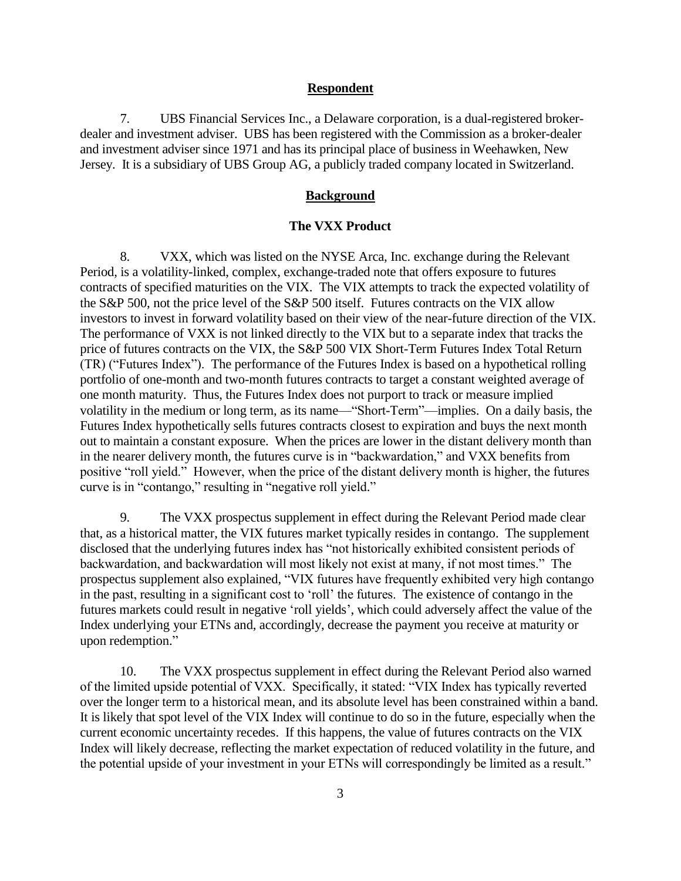#### **Respondent**

7. UBS Financial Services Inc., a Delaware corporation, is a dual-registered brokerdealer and investment adviser. UBS has been registered with the Commission as a broker-dealer and investment adviser since 1971 and has its principal place of business in Weehawken, New Jersey. It is a subsidiary of UBS Group AG, a publicly traded company located in Switzerland.

### **Background**

#### **The VXX Product**

8. VXX, which was listed on the NYSE Arca, Inc. exchange during the Relevant Period, is a volatility-linked, complex, exchange-traded note that offers exposure to futures contracts of specified maturities on the VIX. The VIX attempts to track the expected volatility of the S&P 500, not the price level of the S&P 500 itself. Futures contracts on the VIX allow investors to invest in forward volatility based on their view of the near-future direction of the VIX. The performance of VXX is not linked directly to the VIX but to a separate index that tracks the price of futures contracts on the VIX, the S&P 500 VIX Short-Term Futures Index Total Return (TR) ("Futures Index"). The performance of the Futures Index is based on a hypothetical rolling portfolio of one-month and two-month futures contracts to target a constant weighted average of one month maturity. Thus, the Futures Index does not purport to track or measure implied volatility in the medium or long term, as its name—"Short-Term"—implies. On a daily basis, the Futures Index hypothetically sells futures contracts closest to expiration and buys the next month out to maintain a constant exposure. When the prices are lower in the distant delivery month than in the nearer delivery month, the futures curve is in "backwardation," and VXX benefits from positive "roll yield." However, when the price of the distant delivery month is higher, the futures curve is in "contango," resulting in "negative roll yield."

9. The VXX prospectus supplement in effect during the Relevant Period made clear that, as a historical matter, the VIX futures market typically resides in contango. The supplement disclosed that the underlying futures index has "not historically exhibited consistent periods of backwardation, and backwardation will most likely not exist at many, if not most times." The prospectus supplement also explained, "VIX futures have frequently exhibited very high contango in the past, resulting in a significant cost to 'roll' the futures. The existence of contango in the futures markets could result in negative 'roll yields', which could adversely affect the value of the Index underlying your ETNs and, accordingly, decrease the payment you receive at maturity or upon redemption."

10. The VXX prospectus supplement in effect during the Relevant Period also warned of the limited upside potential of VXX. Specifically, it stated: "VIX Index has typically reverted over the longer term to a historical mean, and its absolute level has been constrained within a band. It is likely that spot level of the VIX Index will continue to do so in the future, especially when the current economic uncertainty recedes. If this happens, the value of futures contracts on the VIX Index will likely decrease, reflecting the market expectation of reduced volatility in the future, and the potential upside of your investment in your ETNs will correspondingly be limited as a result."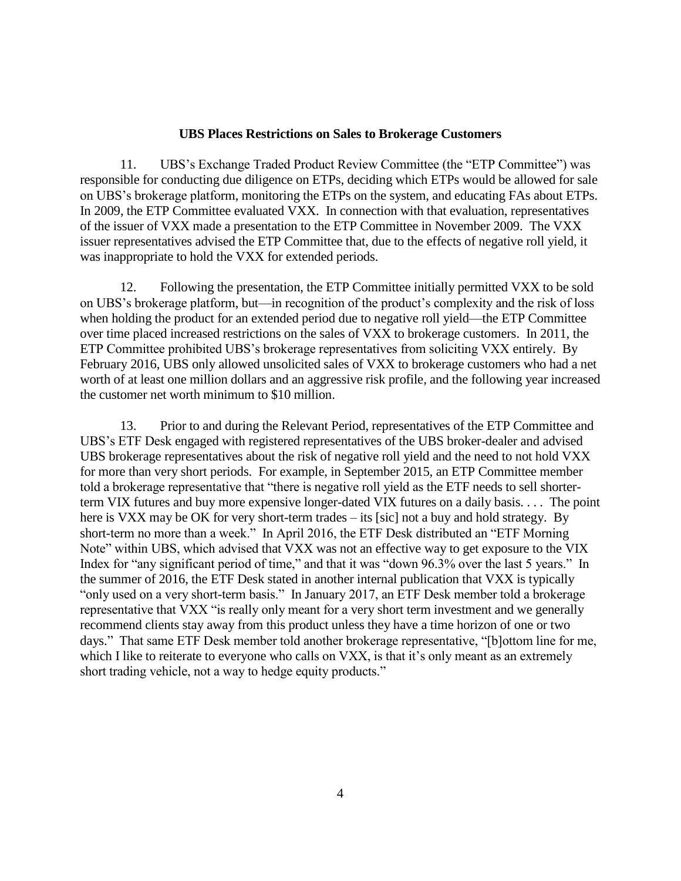#### **UBS Places Restrictions on Sales to Brokerage Customers**

11. UBS's Exchange Traded Product Review Committee (the "ETP Committee") was responsible for conducting due diligence on ETPs, deciding which ETPs would be allowed for sale on UBS's brokerage platform, monitoring the ETPs on the system, and educating FAs about ETPs. In 2009, the ETP Committee evaluated VXX. In connection with that evaluation, representatives of the issuer of VXX made a presentation to the ETP Committee in November 2009. The VXX issuer representatives advised the ETP Committee that, due to the effects of negative roll yield, it was inappropriate to hold the VXX for extended periods.

12. Following the presentation, the ETP Committee initially permitted VXX to be sold on UBS's brokerage platform, but—in recognition of the product's complexity and the risk of loss when holding the product for an extended period due to negative roll yield—the ETP Committee over time placed increased restrictions on the sales of VXX to brokerage customers. In 2011, the ETP Committee prohibited UBS's brokerage representatives from soliciting VXX entirely. By February 2016, UBS only allowed unsolicited sales of VXX to brokerage customers who had a net worth of at least one million dollars and an aggressive risk profile, and the following year increased the customer net worth minimum to \$10 million.

13. Prior to and during the Relevant Period, representatives of the ETP Committee and UBS's ETF Desk engaged with registered representatives of the UBS broker-dealer and advised UBS brokerage representatives about the risk of negative roll yield and the need to not hold VXX for more than very short periods. For example, in September 2015, an ETP Committee member told a brokerage representative that "there is negative roll yield as the ETF needs to sell shorterterm VIX futures and buy more expensive longer-dated VIX futures on a daily basis. . . . The point here is VXX may be OK for very short-term trades – its [sic] not a buy and hold strategy. By short-term no more than a week." In April 2016, the ETF Desk distributed an "ETF Morning Note" within UBS, which advised that VXX was not an effective way to get exposure to the VIX Index for "any significant period of time," and that it was "down 96.3% over the last 5 years." In the summer of 2016, the ETF Desk stated in another internal publication that VXX is typically "only used on a very short-term basis." In January 2017, an ETF Desk member told a brokerage representative that VXX "is really only meant for a very short term investment and we generally recommend clients stay away from this product unless they have a time horizon of one or two days." That same ETF Desk member told another brokerage representative, "[b]ottom line for me, which I like to reiterate to everyone who calls on VXX, is that it's only meant as an extremely short trading vehicle, not a way to hedge equity products."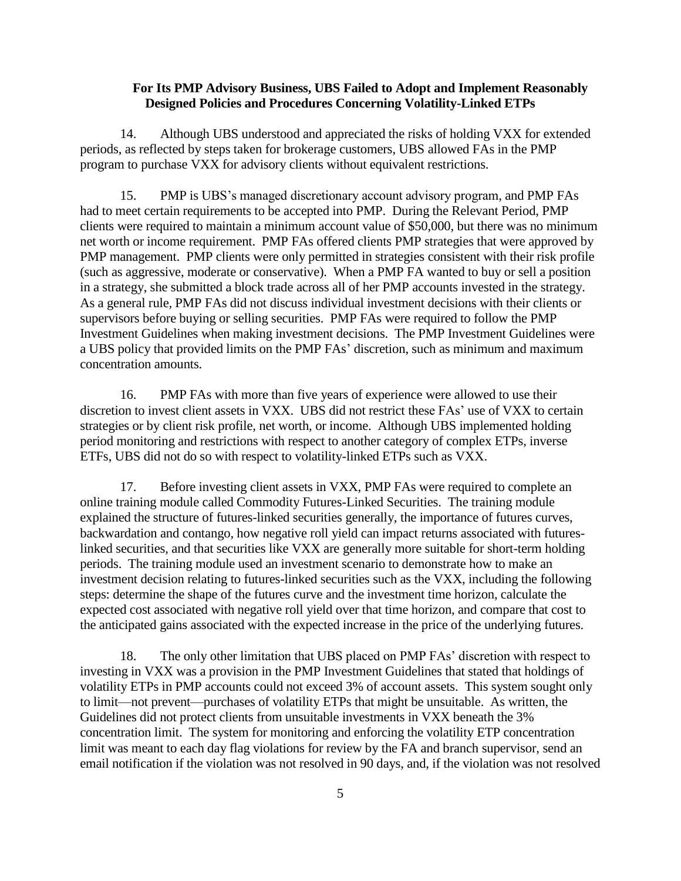### **For Its PMP Advisory Business, UBS Failed to Adopt and Implement Reasonably Designed Policies and Procedures Concerning Volatility-Linked ETPs**

14. Although UBS understood and appreciated the risks of holding VXX for extended periods, as reflected by steps taken for brokerage customers, UBS allowed FAs in the PMP program to purchase VXX for advisory clients without equivalent restrictions.

15. PMP is UBS's managed discretionary account advisory program, and PMP FAs had to meet certain requirements to be accepted into PMP. During the Relevant Period, PMP clients were required to maintain a minimum account value of \$50,000, but there was no minimum net worth or income requirement. PMP FAs offered clients PMP strategies that were approved by PMP management. PMP clients were only permitted in strategies consistent with their risk profile (such as aggressive, moderate or conservative). When a PMP FA wanted to buy or sell a position in a strategy, she submitted a block trade across all of her PMP accounts invested in the strategy. As a general rule, PMP FAs did not discuss individual investment decisions with their clients or supervisors before buying or selling securities. PMP FAs were required to follow the PMP Investment Guidelines when making investment decisions. The PMP Investment Guidelines were a UBS policy that provided limits on the PMP FAs' discretion, such as minimum and maximum concentration amounts.

16. PMP FAs with more than five years of experience were allowed to use their discretion to invest client assets in VXX. UBS did not restrict these FAs' use of VXX to certain strategies or by client risk profile, net worth, or income. Although UBS implemented holding period monitoring and restrictions with respect to another category of complex ETPs, inverse ETFs, UBS did not do so with respect to volatility-linked ETPs such as VXX.

17. Before investing client assets in VXX, PMP FAs were required to complete an online training module called Commodity Futures-Linked Securities. The training module explained the structure of futures-linked securities generally, the importance of futures curves, backwardation and contango, how negative roll yield can impact returns associated with futureslinked securities, and that securities like VXX are generally more suitable for short-term holding periods. The training module used an investment scenario to demonstrate how to make an investment decision relating to futures-linked securities such as the VXX, including the following steps: determine the shape of the futures curve and the investment time horizon, calculate the expected cost associated with negative roll yield over that time horizon, and compare that cost to the anticipated gains associated with the expected increase in the price of the underlying futures.

18. The only other limitation that UBS placed on PMP FAs' discretion with respect to investing in VXX was a provision in the PMP Investment Guidelines that stated that holdings of volatility ETPs in PMP accounts could not exceed 3% of account assets. This system sought only to limit—not prevent—purchases of volatility ETPs that might be unsuitable. As written, the Guidelines did not protect clients from unsuitable investments in VXX beneath the 3% concentration limit. The system for monitoring and enforcing the volatility ETP concentration limit was meant to each day flag violations for review by the FA and branch supervisor, send an email notification if the violation was not resolved in 90 days, and, if the violation was not resolved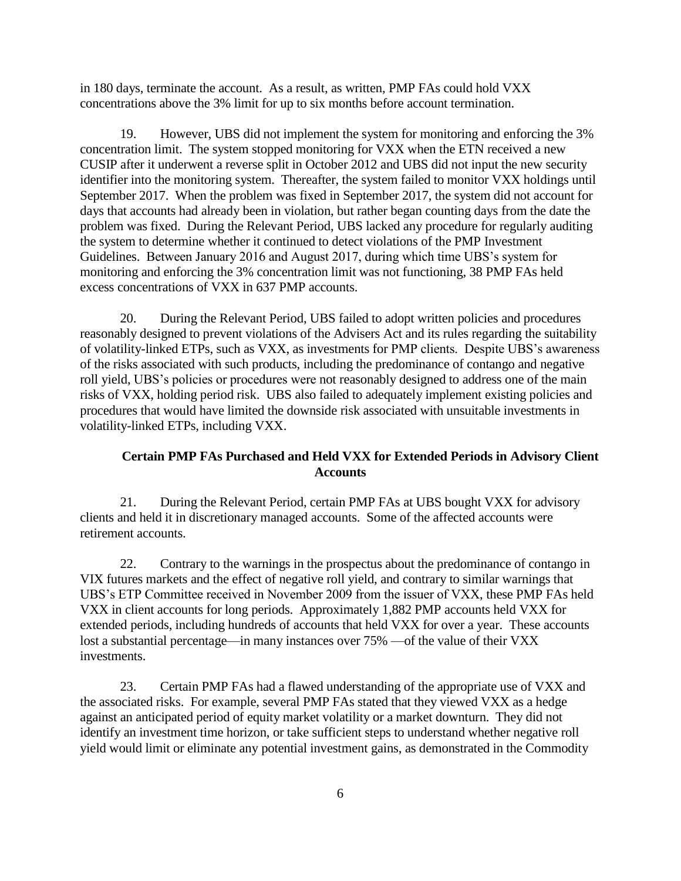in 180 days, terminate the account. As a result, as written, PMP FAs could hold VXX concentrations above the 3% limit for up to six months before account termination.

19. However, UBS did not implement the system for monitoring and enforcing the 3% concentration limit. The system stopped monitoring for VXX when the ETN received a new CUSIP after it underwent a reverse split in October 2012 and UBS did not input the new security identifier into the monitoring system. Thereafter, the system failed to monitor VXX holdings until September 2017. When the problem was fixed in September 2017, the system did not account for days that accounts had already been in violation, but rather began counting days from the date the problem was fixed. During the Relevant Period, UBS lacked any procedure for regularly auditing the system to determine whether it continued to detect violations of the PMP Investment Guidelines. Between January 2016 and August 2017, during which time UBS's system for monitoring and enforcing the 3% concentration limit was not functioning, 38 PMP FAs held excess concentrations of VXX in 637 PMP accounts.

20. During the Relevant Period, UBS failed to adopt written policies and procedures reasonably designed to prevent violations of the Advisers Act and its rules regarding the suitability of volatility-linked ETPs, such as VXX, as investments for PMP clients. Despite UBS's awareness of the risks associated with such products, including the predominance of contango and negative roll yield, UBS's policies or procedures were not reasonably designed to address one of the main risks of VXX, holding period risk. UBS also failed to adequately implement existing policies and procedures that would have limited the downside risk associated with unsuitable investments in volatility-linked ETPs, including VXX.

## **Certain PMP FAs Purchased and Held VXX for Extended Periods in Advisory Client Accounts**

21. During the Relevant Period, certain PMP FAs at UBS bought VXX for advisory clients and held it in discretionary managed accounts. Some of the affected accounts were retirement accounts.

22. Contrary to the warnings in the prospectus about the predominance of contango in VIX futures markets and the effect of negative roll yield, and contrary to similar warnings that UBS's ETP Committee received in November 2009 from the issuer of VXX, these PMP FAs held VXX in client accounts for long periods. Approximately 1,882 PMP accounts held VXX for extended periods, including hundreds of accounts that held VXX for over a year. These accounts lost a substantial percentage—in many instances over 75% —of the value of their VXX investments.

23. Certain PMP FAs had a flawed understanding of the appropriate use of VXX and the associated risks. For example, several PMP FAs stated that they viewed VXX as a hedge against an anticipated period of equity market volatility or a market downturn. They did not identify an investment time horizon, or take sufficient steps to understand whether negative roll yield would limit or eliminate any potential investment gains, as demonstrated in the Commodity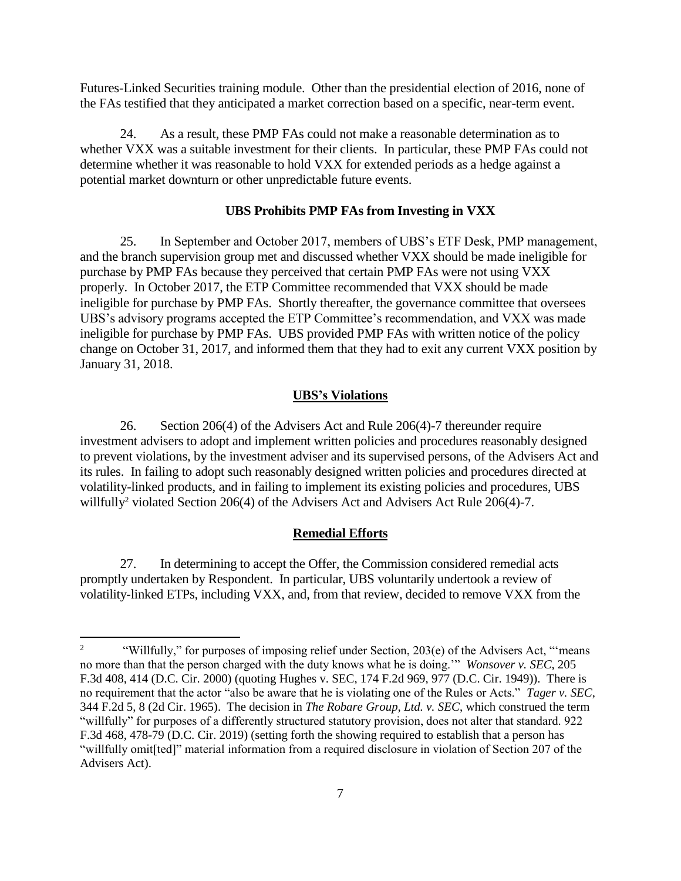Futures-Linked Securities training module. Other than the presidential election of 2016, none of the FAs testified that they anticipated a market correction based on a specific, near-term event.

24. As a result, these PMP FAs could not make a reasonable determination as to whether VXX was a suitable investment for their clients. In particular, these PMP FAs could not determine whether it was reasonable to hold VXX for extended periods as a hedge against a potential market downturn or other unpredictable future events.

### **UBS Prohibits PMP FAs from Investing in VXX**

25. In September and October 2017, members of UBS's ETF Desk, PMP management, and the branch supervision group met and discussed whether VXX should be made ineligible for purchase by PMP FAs because they perceived that certain PMP FAs were not using VXX properly. In October 2017, the ETP Committee recommended that VXX should be made ineligible for purchase by PMP FAs. Shortly thereafter, the governance committee that oversees UBS's advisory programs accepted the ETP Committee's recommendation, and VXX was made ineligible for purchase by PMP FAs. UBS provided PMP FAs with written notice of the policy change on October 31, 2017, and informed them that they had to exit any current VXX position by January 31, 2018.

#### **UBS's Violations**

26. Section 206(4) of the Advisers Act and Rule 206(4)-7 thereunder require investment advisers to adopt and implement written policies and procedures reasonably designed to prevent violations, by the investment adviser and its supervised persons, of the Advisers Act and its rules. In failing to adopt such reasonably designed written policies and procedures directed at volatility-linked products, and in failing to implement its existing policies and procedures, UBS willfully<sup>2</sup> violated Section 206(4) of the Advisers Act and Advisers Act Rule 206(4)-7.

#### **Remedial Efforts**

27. In determining to accept the Offer, the Commission considered remedial acts promptly undertaken by Respondent. In particular, UBS voluntarily undertook a review of volatility-linked ETPs, including VXX, and, from that review, decided to remove VXX from the

 $\frac{1}{2}$ "Willfully," for purposes of imposing relief under Section, 203(e) of the Advisers Act, "'means no more than that the person charged with the duty knows what he is doing.'" *Wonsover v. SEC*, 205 F.3d 408, 414 (D.C. Cir. 2000) (quoting Hughes v. SEC, 174 F.2d 969, 977 (D.C. Cir. 1949)). There is no requirement that the actor "also be aware that he is violating one of the Rules or Acts." *Tager v. SEC*, 344 F.2d 5, 8 (2d Cir. 1965). The decision in *The Robare Group, Ltd. v. SEC*, which construed the term "willfully" for purposes of a differently structured statutory provision, does not alter that standard. 922 F.3d 468, 478-79 (D.C. Cir. 2019) (setting forth the showing required to establish that a person has "willfully omit[ted]" material information from a required disclosure in violation of Section 207 of the Advisers Act).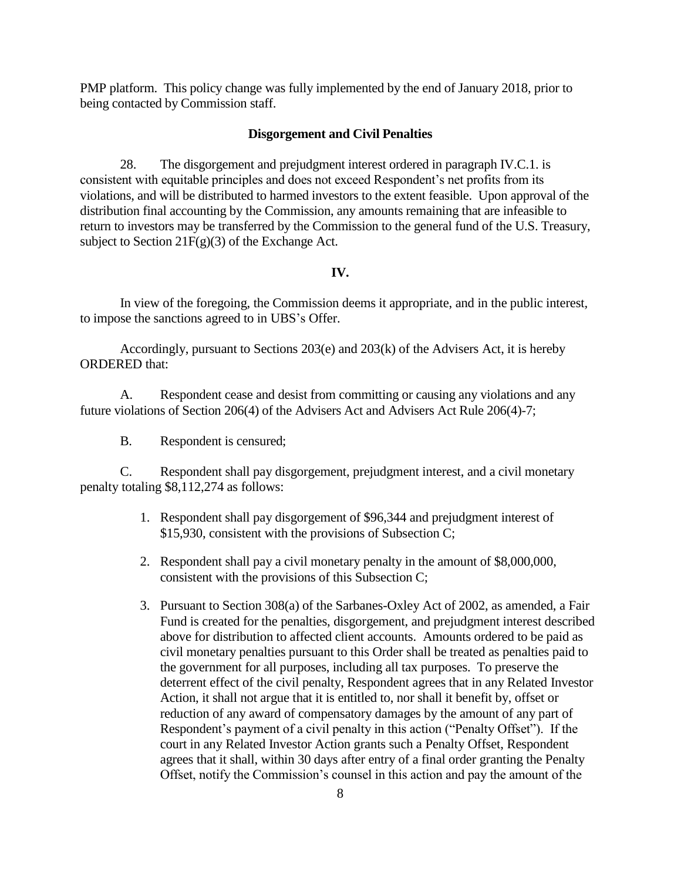PMP platform. This policy change was fully implemented by the end of January 2018, prior to being contacted by Commission staff.

#### **Disgorgement and Civil Penalties**

28. The disgorgement and prejudgment interest ordered in paragraph IV.C.1. is consistent with equitable principles and does not exceed Respondent's net profits from its violations, and will be distributed to harmed investors to the extent feasible. Upon approval of the distribution final accounting by the Commission, any amounts remaining that are infeasible to return to investors may be transferred by the Commission to the general fund of the U.S. Treasury, subject to Section  $21F(g)(3)$  of the Exchange Act.

## **IV.**

In view of the foregoing, the Commission deems it appropriate, and in the public interest*,* to impose the sanctions agreed to in UBS's Offer.

Accordingly, pursuant to Sections 203(e) and 203(k) of the Advisers Act, it is hereby ORDERED that:

A. Respondent cease and desist from committing or causing any violations and any future violations of Section 206(4) of the Advisers Act and Advisers Act Rule 206(4)-7;

B. Respondent is censured;

C. Respondent shall pay disgorgement, prejudgment interest, and a civil monetary penalty totaling \$8,112,274 as follows:

- 1. Respondent shall pay disgorgement of \$96,344 and prejudgment interest of \$15,930, consistent with the provisions of Subsection C;
- 2. Respondent shall pay a civil monetary penalty in the amount of \$8,000,000, consistent with the provisions of this Subsection C;
- 3. Pursuant to Section 308(a) of the Sarbanes-Oxley Act of 2002, as amended, a Fair Fund is created for the penalties, disgorgement, and prejudgment interest described above for distribution to affected client accounts. Amounts ordered to be paid as civil monetary penalties pursuant to this Order shall be treated as penalties paid to the government for all purposes, including all tax purposes. To preserve the deterrent effect of the civil penalty, Respondent agrees that in any Related Investor Action, it shall not argue that it is entitled to, nor shall it benefit by, offset or reduction of any award of compensatory damages by the amount of any part of Respondent's payment of a civil penalty in this action ("Penalty Offset"). If the court in any Related Investor Action grants such a Penalty Offset, Respondent agrees that it shall, within 30 days after entry of a final order granting the Penalty Offset, notify the Commission's counsel in this action and pay the amount of the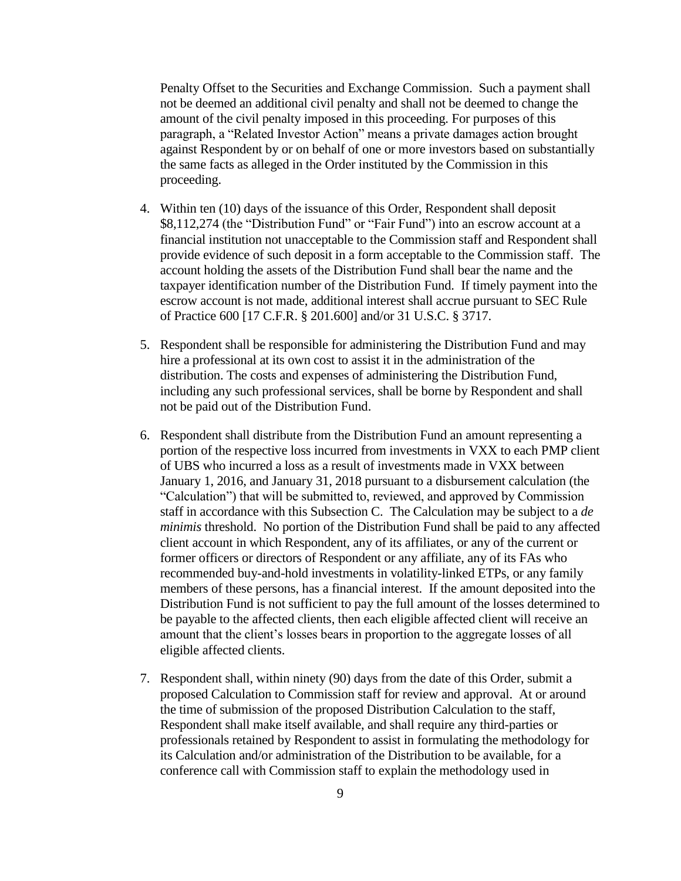Penalty Offset to the Securities and Exchange Commission. Such a payment shall not be deemed an additional civil penalty and shall not be deemed to change the amount of the civil penalty imposed in this proceeding. For purposes of this paragraph, a "Related Investor Action" means a private damages action brought against Respondent by or on behalf of one or more investors based on substantially the same facts as alleged in the Order instituted by the Commission in this proceeding.

- 4. Within ten (10) days of the issuance of this Order, Respondent shall deposit \$8,112,274 (the "Distribution Fund" or "Fair Fund") into an escrow account at a financial institution not unacceptable to the Commission staff and Respondent shall provide evidence of such deposit in a form acceptable to the Commission staff. The account holding the assets of the Distribution Fund shall bear the name and the taxpayer identification number of the Distribution Fund. If timely payment into the escrow account is not made, additional interest shall accrue pursuant to SEC Rule of Practice 600 [17 C.F.R. § 201.600] and/or 31 U.S.C. § 3717.
- 5. Respondent shall be responsible for administering the Distribution Fund and may hire a professional at its own cost to assist it in the administration of the distribution. The costs and expenses of administering the Distribution Fund, including any such professional services, shall be borne by Respondent and shall not be paid out of the Distribution Fund.
- 6. Respondent shall distribute from the Distribution Fund an amount representing a portion of the respective loss incurred from investments in VXX to each PMP client of UBS who incurred a loss as a result of investments made in VXX between January 1, 2016, and January 31, 2018 pursuant to a disbursement calculation (the "Calculation") that will be submitted to, reviewed, and approved by Commission staff in accordance with this Subsection C. The Calculation may be subject to a *de minimis* threshold. No portion of the Distribution Fund shall be paid to any affected client account in which Respondent, any of its affiliates, or any of the current or former officers or directors of Respondent or any affiliate, any of its FAs who recommended buy-and-hold investments in volatility-linked ETPs, or any family members of these persons, has a financial interest. If the amount deposited into the Distribution Fund is not sufficient to pay the full amount of the losses determined to be payable to the affected clients, then each eligible affected client will receive an amount that the client's losses bears in proportion to the aggregate losses of all eligible affected clients.
- 7. Respondent shall, within ninety (90) days from the date of this Order, submit a proposed Calculation to Commission staff for review and approval. At or around the time of submission of the proposed Distribution Calculation to the staff, Respondent shall make itself available, and shall require any third-parties or professionals retained by Respondent to assist in formulating the methodology for its Calculation and/or administration of the Distribution to be available, for a conference call with Commission staff to explain the methodology used in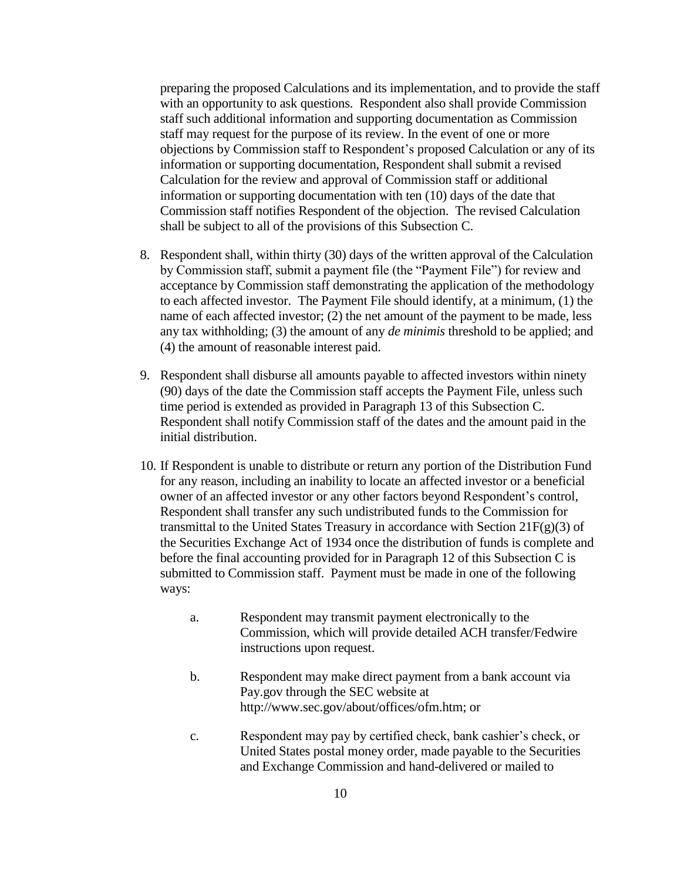preparing the proposed Calculations and its implementation, and to provide the staff with an opportunity to ask questions. Respondent also shall provide Commission staff such additional information and supporting documentation as Commission staff may request for the purpose of its review. In the event of one or more objections by Commission staff to Respondent's proposed Calculation or any of its information or supporting documentation, Respondent shall submit a revised Calculation for the review and approval of Commission staff or additional information or supporting documentation with ten (10) days of the date that Commission staff notifies Respondent of the objection. The revised Calculation shall be subject to all of the provisions of this Subsection C.

- 8. Respondent shall, within thirty (30) days of the written approval of the Calculation by Commission staff, submit a payment file (the "Payment File") for review and acceptance by Commission staff demonstrating the application of the methodology to each affected investor. The Payment File should identify, at a minimum, (1) the name of each affected investor; (2) the net amount of the payment to be made, less any tax withholding; (3) the amount of any *de minimis* threshold to be applied; and (4) the amount of reasonable interest paid.
- 9. Respondent shall disburse all amounts payable to affected investors within ninety (90) days of the date the Commission staff accepts the Payment File, unless such time period is extended as provided in Paragraph 13 of this Subsection C. Respondent shall notify Commission staff of the dates and the amount paid in the initial distribution.
- 10. If Respondent is unable to distribute or return any portion of the Distribution Fund for any reason, including an inability to locate an affected investor or a beneficial owner of an affected investor or any other factors beyond Respondent's control, Respondent shall transfer any such undistributed funds to the Commission for transmittal to the United States Treasury in accordance with Section  $21F(g)(3)$  of the Securities Exchange Act of 1934 once the distribution of funds is complete and before the final accounting provided for in Paragraph 12 of this Subsection C is submitted to Commission staff. Payment must be made in one of the following ways:
	- a. Respondent may transmit payment electronically to the Commission, which will provide detailed ACH transfer/Fedwire instructions upon request.
	- b. Respondent may make direct payment from a bank account via Pay.gov through the SEC website at http://www.sec.gov/about/offices/ofm.htm; or
	- c. Respondent may pay by certified check, bank cashier's check, or United States postal money order, made payable to the Securities and Exchange Commission and hand-delivered or mailed to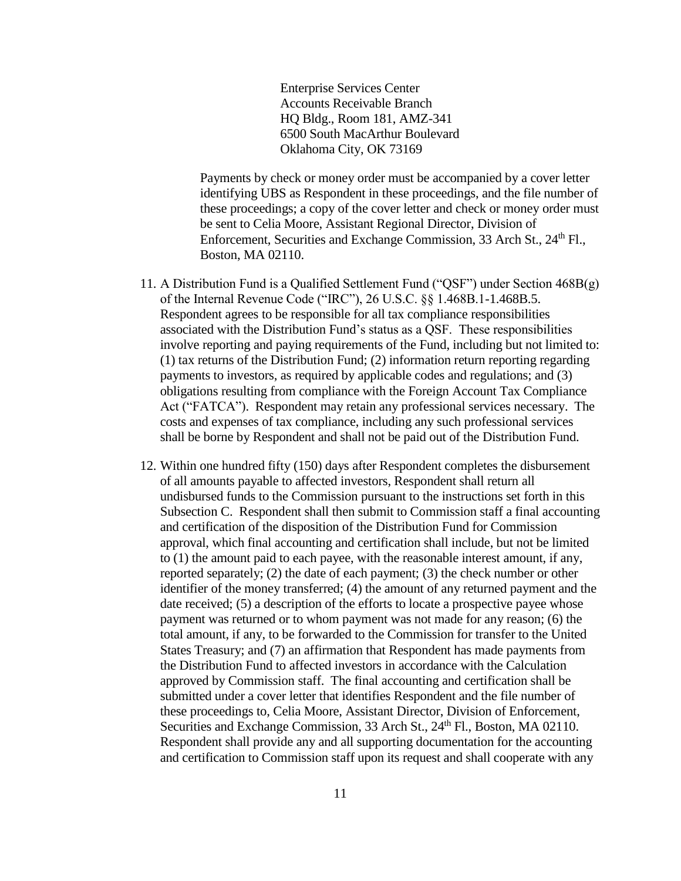Enterprise Services Center Accounts Receivable Branch HQ Bldg., Room 181, AMZ-341 6500 South MacArthur Boulevard Oklahoma City, OK 73169

Payments by check or money order must be accompanied by a cover letter identifying UBS as Respondent in these proceedings, and the file number of these proceedings; a copy of the cover letter and check or money order must be sent to Celia Moore, Assistant Regional Director, Division of Enforcement, Securities and Exchange Commission, 33 Arch St., 24<sup>th</sup> Fl., Boston, MA 02110.

- 11. A Distribution Fund is a Qualified Settlement Fund ("QSF") under Section 468B(g) of the Internal Revenue Code ("IRC"), 26 U.S.C. §§ 1.468B.1-1.468B.5. Respondent agrees to be responsible for all tax compliance responsibilities associated with the Distribution Fund's status as a QSF. These responsibilities involve reporting and paying requirements of the Fund, including but not limited to: (1) tax returns of the Distribution Fund; (2) information return reporting regarding payments to investors, as required by applicable codes and regulations; and (3) obligations resulting from compliance with the Foreign Account Tax Compliance Act ("FATCA"). Respondent may retain any professional services necessary. The costs and expenses of tax compliance, including any such professional services shall be borne by Respondent and shall not be paid out of the Distribution Fund.
- 12. Within one hundred fifty (150) days after Respondent completes the disbursement of all amounts payable to affected investors, Respondent shall return all undisbursed funds to the Commission pursuant to the instructions set forth in this Subsection C. Respondent shall then submit to Commission staff a final accounting and certification of the disposition of the Distribution Fund for Commission approval, which final accounting and certification shall include, but not be limited to (1) the amount paid to each payee, with the reasonable interest amount, if any, reported separately; (2) the date of each payment; (3) the check number or other identifier of the money transferred; (4) the amount of any returned payment and the date received; (5) a description of the efforts to locate a prospective payee whose payment was returned or to whom payment was not made for any reason; (6) the total amount, if any, to be forwarded to the Commission for transfer to the United States Treasury; and (7) an affirmation that Respondent has made payments from the Distribution Fund to affected investors in accordance with the Calculation approved by Commission staff. The final accounting and certification shall be submitted under a cover letter that identifies Respondent and the file number of these proceedings to, Celia Moore, Assistant Director, Division of Enforcement, Securities and Exchange Commission, 33 Arch St., 24<sup>th</sup> Fl., Boston, MA 02110. Respondent shall provide any and all supporting documentation for the accounting and certification to Commission staff upon its request and shall cooperate with any